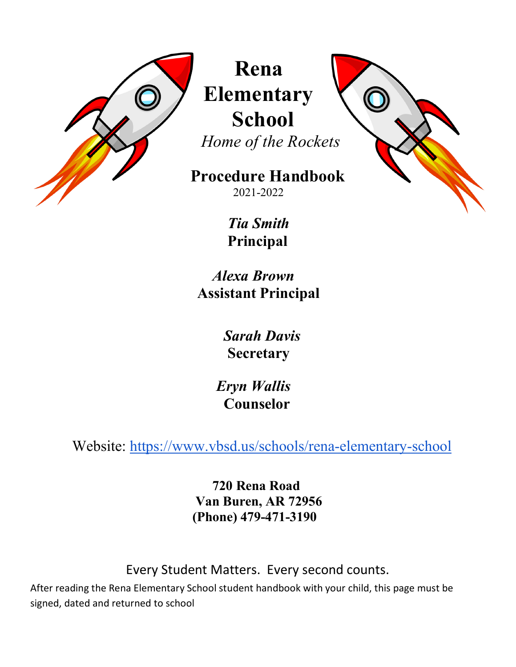

 **Rena Elementary School**

 *Home of the Rockets*

 **Procedure Handbook**2021-2022

> *Tia Smith*  **Principal**

 *Alexa Brown*  **Assistant Principal**

> *Sarah Davis*   **Secretary**

 *Eryn Wallis*  **Counselor**

Website:<https://www.vbsd.us/schools/rena-elementary-school>

 **720 Rena Road Van Buren, AR 72956 (Phone) 479-471-3190** 

Every Student Matters. Every second counts.

After reading the Rena Elementary School student handbook with your child, this page must be signed, dated and returned to school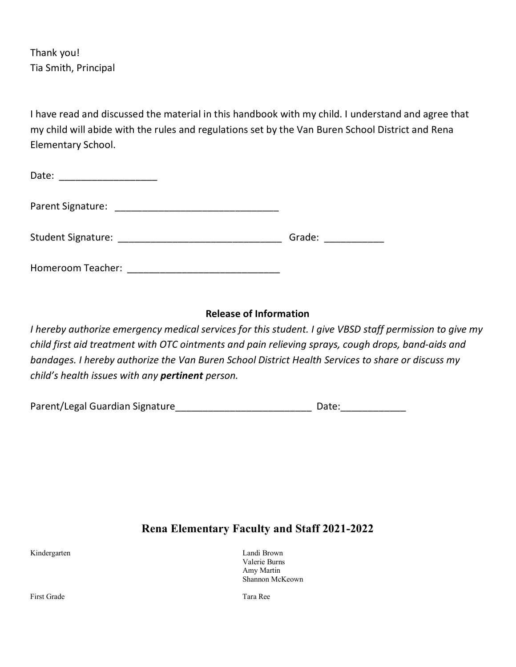Thank you! Tia Smith, Principal

I have read and discussed the material in this handbook with my child. I understand and agree that my child will abide with the rules and regulations set by the Van Buren School District and Rena Elementary School.

| Date:<br>the control of the control of the control of the control of |        |
|----------------------------------------------------------------------|--------|
| Parent Signature:                                                    |        |
| Student Signature: ____________                                      | Grade: |
| Homeroom Teacher:                                                    |        |

# **Release of Information**

*I hereby authorize emergency medical services for this student. I give VBSD staff permission to give my child first aid treatment with OTC ointments and pain relieving sprays, cough drops, band-aids and bandages. I hereby authorize the Van Buren School District Health Services to share or discuss my child's health issues with any pertinent person.*

| Parent/Legal Guardian Signature | Date: |
|---------------------------------|-------|
|                                 |       |

# **Rena Elementary Faculty and Staff 2021-2022**

Kindergarten Landi Brown Valerie Burns Amy Martin Shannon McKeown

First Grade Tara Ree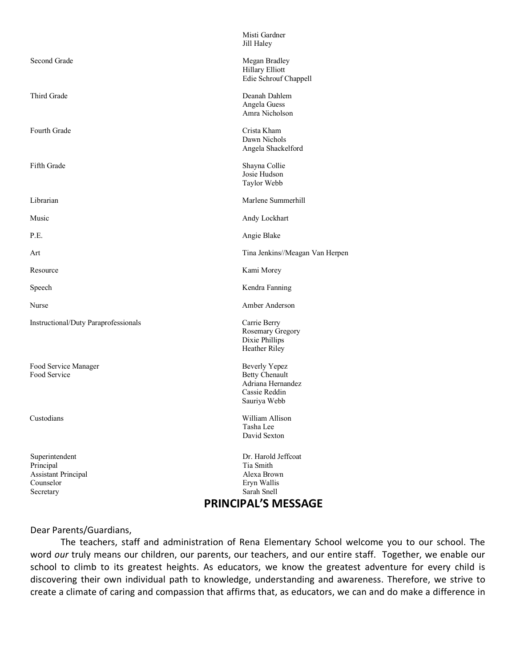|                                                                                                             | PRINCIPAL'S MESSAGE                                                                                 |  |
|-------------------------------------------------------------------------------------------------------------|-----------------------------------------------------------------------------------------------------|--|
| Superintendent<br>Principal<br><b>Assistant Principal</b><br>Counselor<br>Secretary                         | Dr. Harold Jeffcoat<br>Tia Smith<br>Alexa Brown<br>Eryn Wallis<br>Sarah Snell                       |  |
| Custodians                                                                                                  | William Allison<br>Tasha Lee<br>David Sexton                                                        |  |
| Food Service Manager<br>Food Service                                                                        | <b>Beverly Yepez</b><br><b>Betty Chenault</b><br>Adriana Hernandez<br>Cassie Reddin<br>Sauriya Webb |  |
| Instructional/Duty Paraprofessionals<br>Carrie Berry<br>Rosemary Gregory<br>Dixie Phillips<br>Heather Riley |                                                                                                     |  |
| Nurse                                                                                                       | Amber Anderson                                                                                      |  |
| Speech                                                                                                      | Kendra Fanning                                                                                      |  |
| Resource                                                                                                    | Kami Morey                                                                                          |  |
| Art                                                                                                         | Tina Jenkins//Meagan Van Herpen                                                                     |  |
| P.E.                                                                                                        | Angie Blake                                                                                         |  |
| Music                                                                                                       | Andy Lockhart                                                                                       |  |
| Librarian                                                                                                   | Marlene Summerhill                                                                                  |  |
| Fifth Grade                                                                                                 | Shayna Collie<br>Josie Hudson<br>Taylor Webb                                                        |  |
| Fourth Grade                                                                                                | Crista Kham<br>Dawn Nichols<br>Angela Shackelford                                                   |  |
| Third Grade                                                                                                 | Deanah Dahlem<br>Angela Guess<br>Amra Nicholson                                                     |  |
| Second Grade                                                                                                | Megan Bradley<br>Hillary Elliott<br>Edie Schrouf Chappell                                           |  |
|                                                                                                             | Misti Gardner<br>Jill Haley                                                                         |  |

#### Dear Parents/Guardians,

The teachers, staff and administration of Rena Elementary School welcome you to our school. The word *our* truly means our children, our parents, our teachers, and our entire staff. Together, we enable our school to climb to its greatest heights. As educators, we know the greatest adventure for every child is discovering their own individual path to knowledge, understanding and awareness. Therefore, we strive to create a climate of caring and compassion that affirms that, as educators, we can and do make a difference in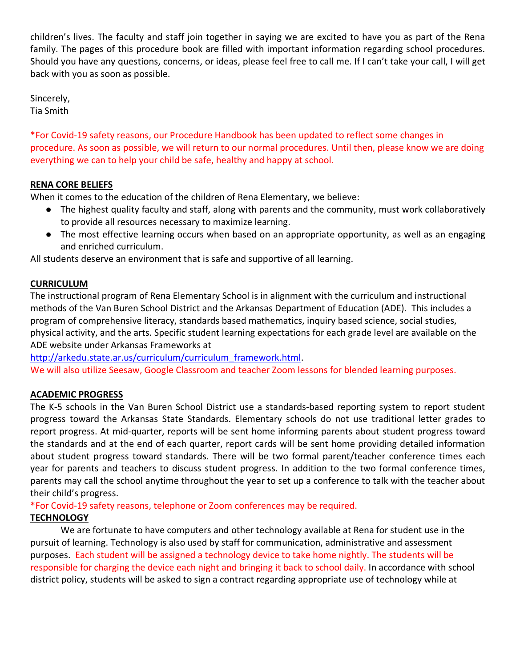children's lives. The faculty and staff join together in saying we are excited to have you as part of the Rena family. The pages of this procedure book are filled with important information regarding school procedures. Should you have any questions, concerns, or ideas, please feel free to call me. If I can't take your call, I will get back with you as soon as possible.

Sincerely, Tia Smith

\*For Covid-19 safety reasons, our Procedure Handbook has been updated to reflect some changes in procedure. As soon as possible, we will return to our normal procedures. Until then, please know we are doing everything we can to help your child be safe, healthy and happy at school.

# **RENA CORE BELIEFS**

When it comes to the education of the children of Rena Elementary, we believe:

- The highest quality faculty and staff, along with parents and the community, must work collaboratively to provide all resources necessary to maximize learning.
- The most effective learning occurs when based on an appropriate opportunity, as well as an engaging and enriched curriculum.

All students deserve an environment that is safe and supportive of all learning.

# **CURRICULUM**

The instructional program of Rena Elementary School is in alignment with the curriculum and instructional methods of the Van Buren School District and the Arkansas Department of Education (ADE). This includes a program of comprehensive literacy, standards based mathematics, inquiry based science, social studies, physical activity, and the arts. Specific student learning expectations for each grade level are available on the ADE website under Arkansas Frameworks at

[http://arkedu.state.ar.us/curriculum/curriculum\\_framework.html.](http://arkedu.state.ar.us/curriculum/curriculum_framework.html)

We will also utilize Seesaw, Google Classroom and teacher Zoom lessons for blended learning purposes.

# **ACADEMIC PROGRESS**

The K-5 schools in the Van Buren School District use a standards-based reporting system to report student progress toward the Arkansas State Standards. Elementary schools do not use traditional letter grades to report progress. At mid-quarter, reports will be sent home informing parents about student progress toward the standards and at the end of each quarter, report cards will be sent home providing detailed information about student progress toward standards. There will be two formal parent/teacher conference times each year for parents and teachers to discuss student progress. In addition to the two formal conference times, parents may call the school anytime throughout the year to set up a conference to talk with the teacher about their child's progress.

\*For Covid-19 safety reasons, telephone or Zoom conferences may be required.

# **TECHNOLOGY**

We are fortunate to have computers and other technology available at Rena for student use in the pursuit of learning. Technology is also used by staff for communication, administrative and assessment purposes. Each student will be assigned a technology device to take home nightly. The students will be responsible for charging the device each night and bringing it back to school daily. In accordance with school district policy, students will be asked to sign a contract regarding appropriate use of technology while at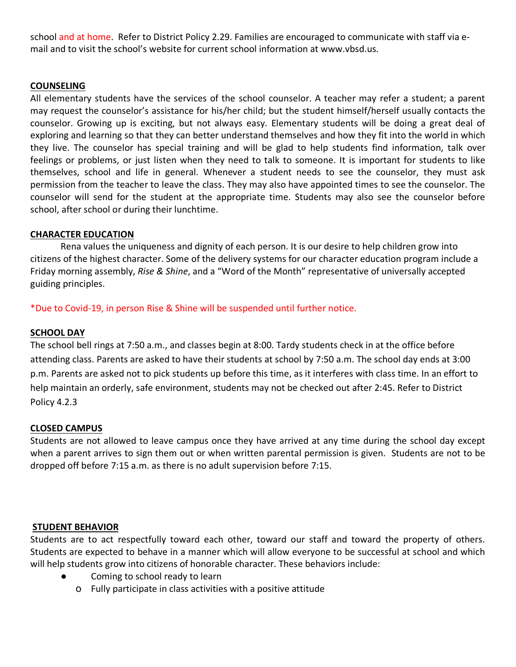school and at home. Refer to District Policy 2.29. Families are encouraged to communicate with staff via email and to visit the school's website for current school information at www.vbsd.us.

## **COUNSELING**

All elementary students have the services of the school counselor. A teacher may refer a student; a parent may request the counselor's assistance for his/her child; but the student himself/herself usually contacts the counselor. Growing up is exciting, but not always easy. Elementary students will be doing a great deal of exploring and learning so that they can better understand themselves and how they fit into the world in which they live. The counselor has special training and will be glad to help students find information, talk over feelings or problems, or just listen when they need to talk to someone. It is important for students to like themselves, school and life in general. Whenever a student needs to see the counselor, they must ask permission from the teacher to leave the class. They may also have appointed times to see the counselor. The counselor will send for the student at the appropriate time. Students may also see the counselor before school, after school or during their lunchtime.

## **CHARACTER EDUCATION**

Rena values the uniqueness and dignity of each person. It is our desire to help children grow into citizens of the highest character. Some of the delivery systems for our character education program include a Friday morning assembly, *Rise & Shine*, and a "Word of the Month" representative of universally accepted guiding principles.

\*Due to Covid-19, in person Rise & Shine will be suspended until further notice.

## **SCHOOL DAY**

The school bell rings at 7:50 a.m., and classes begin at 8:00. Tardy students check in at the office before attending class. Parents are asked to have their students at school by 7:50 a.m. The school day ends at 3:00 p.m. Parents are asked not to pick students up before this time, as it interferes with class time. In an effort to help maintain an orderly, safe environment, students may not be checked out after 2:45. Refer to District Policy 4.2.3

### **CLOSED CAMPUS**

Students are not allowed to leave campus once they have arrived at any time during the school day except when a parent arrives to sign them out or when written parental permission is given. Students are not to be dropped off before 7:15 a.m. as there is no adult supervision before 7:15.

### **STUDENT BEHAVIOR**

Students are to act respectfully toward each other, toward our staff and toward the property of others. Students are expected to behave in a manner which will allow everyone to be successful at school and which will help students grow into citizens of honorable character. These behaviors include:

- Coming to school ready to learn
	- o Fully participate in class activities with a positive attitude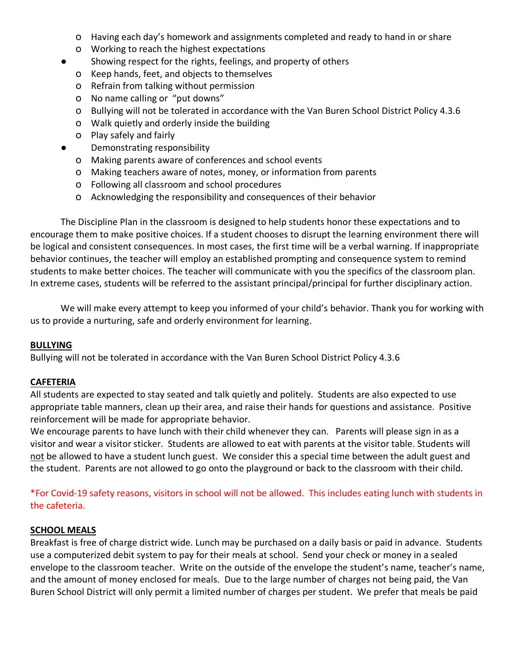- o Having each day's homework and assignments completed and ready to hand in or share
- o Working to reach the highest expectations
- Showing respect for the rights, feelings, and property of others
	- o Keep hands, feet, and objects to themselves
	- o Refrain from talking without permission
	- o No name calling or "put downs"
	- o Bullying will not be tolerated in accordance with the Van Buren School District Policy 4.3.6
	- o Walk quietly and orderly inside the building
	- o Play safely and fairly
	- Demonstrating responsibility
		- o Making parents aware of conferences and school events
		- o Making teachers aware of notes, money, or information from parents
		- o Following all classroom and school procedures
		- o Acknowledging the responsibility and consequences of their behavior

The Discipline Plan in the classroom is designed to help students honor these expectations and to encourage them to make positive choices. If a student chooses to disrupt the learning environment there will be logical and consistent consequences. In most cases, the first time will be a verbal warning. If inappropriate behavior continues, the teacher will employ an established prompting and consequence system to remind students to make better choices. The teacher will communicate with you the specifics of the classroom plan. In extreme cases, students will be referred to the assistant principal/principal for further disciplinary action.

We will make every attempt to keep you informed of your child's behavior. Thank you for working with us to provide a nurturing, safe and orderly environment for learning.

#### **BULLYING**

Bullying will not be tolerated in accordance with the Van Buren School District Policy 4.3.6

### **CAFETERIA**

All students are expected to stay seated and talk quietly and politely. Students are also expected to use appropriate table manners, clean up their area, and raise their hands for questions and assistance. Positive reinforcement will be made for appropriate behavior.

We encourage parents to have lunch with their child whenever they can. Parents will please sign in as a visitor and wear a visitor sticker. Students are allowed to eat with parents at the visitor table. Students will not be allowed to have a student lunch guest. We consider this a special time between the adult guest and the student. Parents are not allowed to go onto the playground or back to the classroom with their child.

\*For Covid-19 safety reasons, visitors in school will not be allowed. This includes eating lunch with students in the cafeteria.

### **SCHOOL MEALS**

Breakfast is free of charge district wide. Lunch may be purchased on a daily basis or paid in advance. Students use a computerized debit system to pay for their meals at school. Send your check or money in a sealed envelope to the classroom teacher. Write on the outside of the envelope the student's name, teacher's name, and the amount of money enclosed for meals. Due to the large number of charges not being paid, the Van Buren School District will only permit a limited number of charges per student. We prefer that meals be paid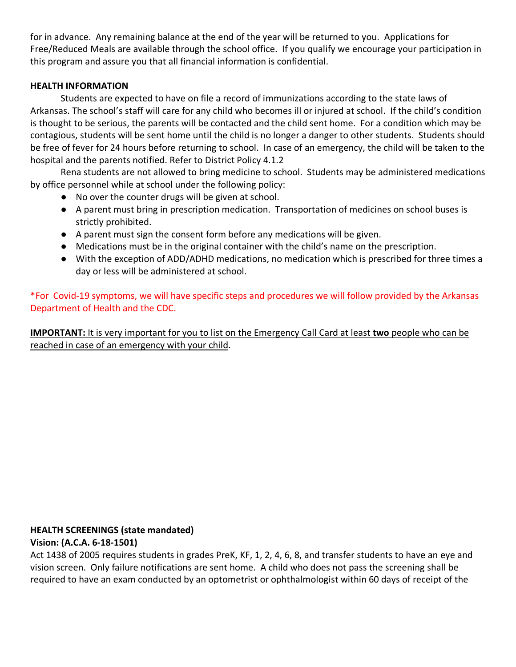for in advance. Any remaining balance at the end of the year will be returned to you. Applications for Free/Reduced Meals are available through the school office. If you qualify we encourage your participation in this program and assure you that all financial information is confidential.

# **HEALTH INFORMATION**

Students are expected to have on file a record of immunizations according to the state laws of Arkansas. The school's staff will care for any child who becomes ill or injured at school. If the child's condition is thought to be serious, the parents will be contacted and the child sent home. For a condition which may be contagious, students will be sent home until the child is no longer a danger to other students. Students should be free of fever for 24 hours before returning to school. In case of an emergency, the child will be taken to the hospital and the parents notified. Refer to District Policy 4.1.2

Rena students are not allowed to bring medicine to school. Students may be administered medications by office personnel while at school under the following policy:

- No over the counter drugs will be given at school.
- A parent must bring in prescription medication. Transportation of medicines on school buses is strictly prohibited.
- A parent must sign the consent form before any medications will be given.
- Medications must be in the original container with the child's name on the prescription.
- With the exception of ADD/ADHD medications, no medication which is prescribed for three times a day or less will be administered at school.

\*For Covid-19 symptoms, we will have specific steps and procedures we will follow provided by the Arkansas Department of Health and the CDC.

**IMPORTANT:** It is very important for you to list on the Emergency Call Card at least **two** people who can be reached in case of an emergency with your child.

# **HEALTH SCREENINGS (state mandated)**

# **Vision: (A.C.A. 6-18-1501)**

Act 1438 of 2005 requires students in grades PreK, KF, 1, 2, 4, 6, 8, and transfer students to have an eye and vision screen. Only failure notifications are sent home. A child who does not pass the screening shall be required to have an exam conducted by an optometrist or ophthalmologist within 60 days of receipt of the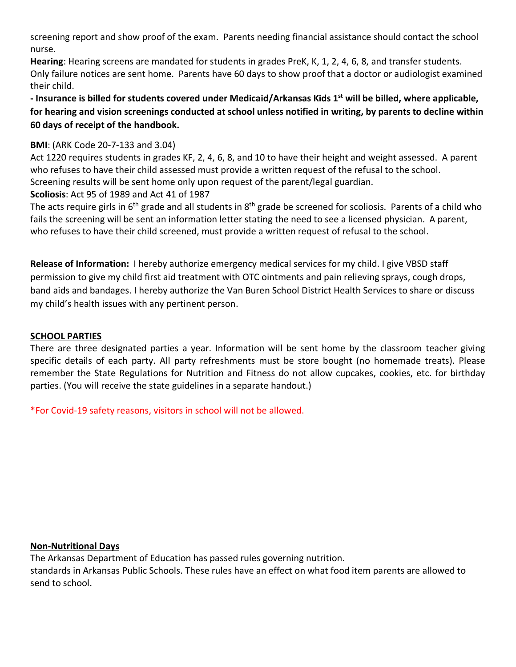screening report and show proof of the exam. Parents needing financial assistance should contact the school nurse.

**Hearing**: Hearing screens are mandated for students in grades PreK, K, 1, 2, 4, 6, 8, and transfer students. Only failure notices are sent home. Parents have 60 days to show proof that a doctor or audiologist examined their child.

**- Insurance is billed for students covered under Medicaid/Arkansas Kids 1st will be billed, where applicable, for hearing and vision screenings conducted at school unless notified in writing, by parents to decline within 60 days of receipt of the handbook.** 

# **BMI**: (ARK Code 20-7-133 and 3.04)

Act 1220 requires students in grades KF, 2, 4, 6, 8, and 10 to have their height and weight assessed. A parent who refuses to have their child assessed must provide a written request of the refusal to the school. Screening results will be sent home only upon request of the parent/legal guardian.

**Scoliosis**: Act 95 of 1989 and Act 41 of 1987

The acts require girls in  $6<sup>th</sup>$  grade and all students in  $8<sup>th</sup>$  grade be screened for scoliosis. Parents of a child who fails the screening will be sent an information letter stating the need to see a licensed physician. A parent, who refuses to have their child screened, must provide a written request of refusal to the school.

**Release of Information:** I hereby authorize emergency medical services for my child. I give VBSD staff permission to give my child first aid treatment with OTC ointments and pain relieving sprays, cough drops, band aids and bandages. I hereby authorize the Van Buren School District Health Services to share or discuss my child's health issues with any pertinent person.

# **SCHOOL PARTIES**

There are three designated parties a year. Information will be sent home by the classroom teacher giving specific details of each party. All party refreshments must be store bought (no homemade treats). Please remember the State Regulations for Nutrition and Fitness do not allow cupcakes, cookies, etc. for birthday parties. (You will receive the state guidelines in a separate handout.)

\*For Covid-19 safety reasons, visitors in school will not be allowed.

# **Non-Nutritional Days**

The Arkansas Department of Education has passed rules governing nutrition. standards in Arkansas Public Schools. These rules have an effect on what food item parents are allowed to send to school.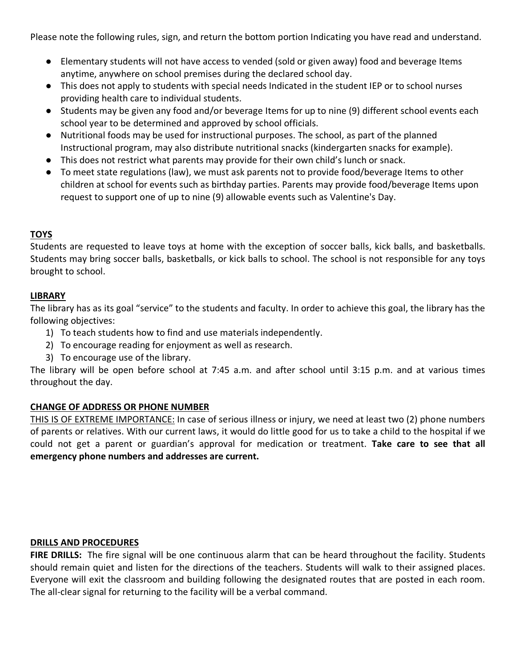Please note the following rules, sign, and return the bottom portion Indicating you have read and understand.

- Elementary students will not have access to vended (sold or given away) food and beverage Items anytime, anywhere on school premises during the declared school day.
- This does not apply to students with special needs Indicated in the student IEP or to school nurses providing health care to individual students.
- Students may be given any food and/or beverage Items for up to nine (9) different school events each school year to be determined and approved by school officials.
- Nutritional foods may be used for instructional purposes. The school, as part of the planned Instructional program, may also distribute nutritional snacks (kindergarten snacks for example).
- This does not restrict what parents may provide for their own child's lunch or snack.
- To meet state regulations (law), we must ask parents not to provide food/beverage Items to other children at school for events such as birthday parties. Parents may provide food/beverage Items upon request to support one of up to nine (9) allowable events such as Valentine's Day.

# **TOYS**

Students are requested to leave toys at home with the exception of soccer balls, kick balls, and basketballs. Students may bring soccer balls, basketballs, or kick balls to school. The school is not responsible for any toys brought to school.

## **LIBRARY**

The library has as its goal "service" to the students and faculty. In order to achieve this goal, the library has the following objectives:

- 1) To teach students how to find and use materials independently.
- 2) To encourage reading for enjoyment as well as research.
- 3) To encourage use of the library.

The library will be open before school at 7:45 a.m. and after school until 3:15 p.m. and at various times throughout the day.

# **CHANGE OF ADDRESS OR PHONE NUMBER**

THIS IS OF EXTREME IMPORTANCE: In case of serious illness or injury, we need at least two (2) phone numbers of parents or relatives. With our current laws, it would do little good for us to take a child to the hospital if we could not get a parent or guardian's approval for medication or treatment. **Take care to see that all emergency phone numbers and addresses are current.**

### **DRILLS AND PROCEDURES**

**FIRE DRILLS:** The fire signal will be one continuous alarm that can be heard throughout the facility. Students should remain quiet and listen for the directions of the teachers. Students will walk to their assigned places. Everyone will exit the classroom and building following the designated routes that are posted in each room. The all-clear signal for returning to the facility will be a verbal command.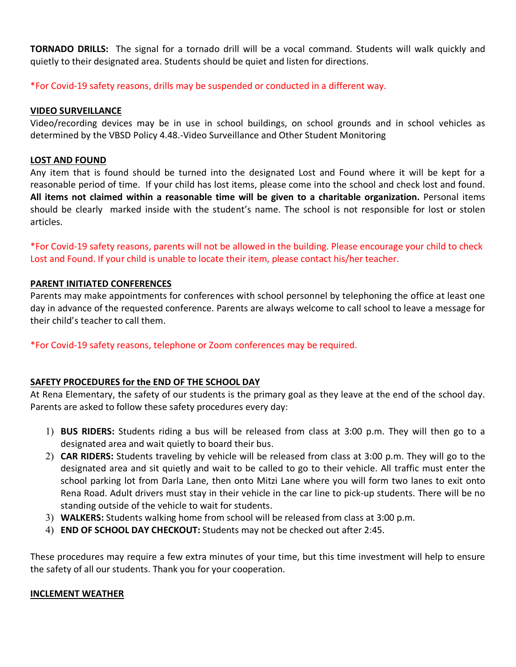**TORNADO DRILLS:** The signal for a tornado drill will be a vocal command. Students will walk quickly and quietly to their designated area. Students should be quiet and listen for directions.

\*For Covid-19 safety reasons, drills may be suspended or conducted in a different way.

## **VIDEO SURVEILLANCE**

Video/recording devices may be in use in school buildings, on school grounds and in school vehicles as determined by the VBSD Policy 4.48.-Video Surveillance and Other Student Monitoring

## **LOST AND FOUND**

Any item that is found should be turned into the designated Lost and Found where it will be kept for a reasonable period of time. If your child has lost items, please come into the school and check lost and found. **All items not claimed within a reasonable time will be given to a charitable organization.** Personal items should be clearly marked inside with the student's name. The school is not responsible for lost or stolen articles.

\*For Covid-19 safety reasons, parents will not be allowed in the building. Please encourage your child to check Lost and Found. If your child is unable to locate their item, please contact his/her teacher.

## **PARENT INITIATED CONFERENCES**

Parents may make appointments for conferences with school personnel by telephoning the office at least one day in advance of the requested conference. Parents are always welcome to call school to leave a message for their child's teacher to call them.

\*For Covid-19 safety reasons, telephone or Zoom conferences may be required.

# **SAFETY PROCEDURES for the END OF THE SCHOOL DAY**

At Rena Elementary, the safety of our students is the primary goal as they leave at the end of the school day. Parents are asked to follow these safety procedures every day:

- 1) **BUS RIDERS:** Students riding a bus will be released from class at 3:00 p.m. They will then go to a designated area and wait quietly to board their bus.
- 2) **CAR RIDERS:** Students traveling by vehicle will be released from class at 3:00 p.m. They will go to the designated area and sit quietly and wait to be called to go to their vehicle. All traffic must enter the school parking lot from Darla Lane, then onto Mitzi Lane where you will form two lanes to exit onto Rena Road. Adult drivers must stay in their vehicle in the car line to pick-up students. There will be no standing outside of the vehicle to wait for students.
- 3) **WALKERS:** Students walking home from school will be released from class at 3:00 p.m.
- 4) **END OF SCHOOL DAY CHECKOUT:** Students may not be checked out after 2:45.

These procedures may require a few extra minutes of your time, but this time investment will help to ensure the safety of all our students. Thank you for your cooperation.

### **INCLEMENT WEATHER**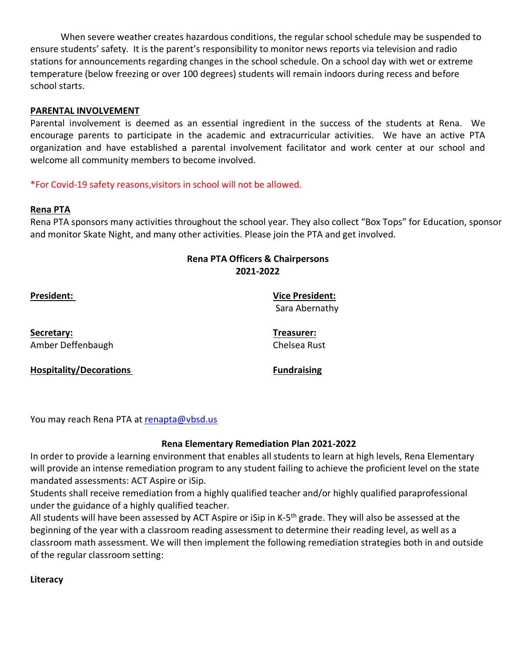When severe weather creates hazardous conditions, the regular school schedule may be suspended to ensure students' safety. It is the parent's responsibility to monitor news reports via television and radio stations for announcements regarding changes in the school schedule. On a school day with wet or extreme temperature (below freezing or over 100 degrees) students will remain indoors during recess and before school starts.

## **PARENTAL INVOLVEMENT**

Parental involvement is deemed as an essential ingredient in the success of the students at Rena. We encourage parents to participate in the academic and extracurricular activities. We have an active PTA organization and have established a parental involvement facilitator and work center at our school and welcome all community members to become involved.

## \*For Covid-19 safety reasons,visitors in school will not be allowed.

### **Rena PTA**

Rena PTA sponsors many activities throughout the school year. They also collect "Box Tops" for Education, sponsor and monitor Skate Night, and many other activities. Please join the PTA and get involved.

# **Rena PTA Officers & Chairpersons 2021-2022**

**President: Vice President:**  Sara Abernathy

**Secretary: Treasurer:** Amber Deffenbaugh Chelsea Rust

**Hospitality/Decorations Fundraising** 

You may reach Rena PTA at [renapta@vbsd.us](mailto:renapta@vbsd.us)

### **Rena Elementary Remediation Plan 2021-2022**

In order to provide a learning environment that enables all students to learn at high levels, Rena Elementary will provide an intense remediation program to any student failing to achieve the proficient level on the state mandated assessments: ACT Aspire or iSip.

Students shall receive remediation from a highly qualified teacher and/or highly qualified paraprofessional under the guidance of a highly qualified teacher.

All students will have been assessed by ACT Aspire or iSip in K-5<sup>th</sup> grade. They will also be assessed at the beginning of the year with a classroom reading assessment to determine their reading level, as well as a classroom math assessment. We will then implement the following remediation strategies both in and outside of the regular classroom setting:

### **Literacy**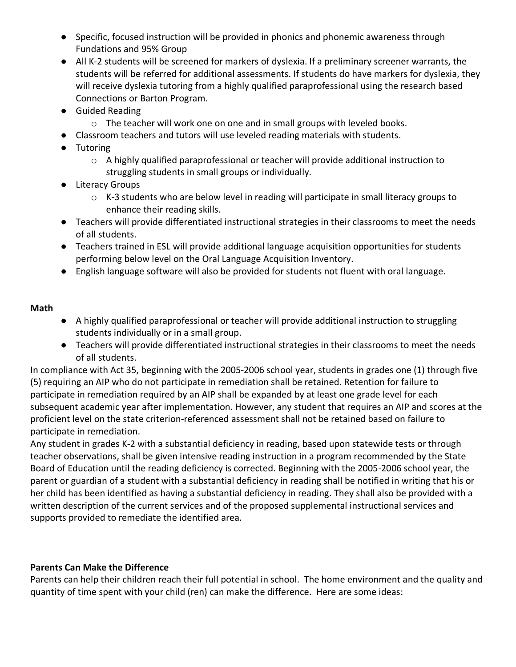- Specific, focused instruction will be provided in phonics and phonemic awareness through Fundations and 95% Group
- All K-2 students will be screened for markers of dyslexia. If a preliminary screener warrants, the students will be referred for additional assessments. If students do have markers for dyslexia, they will receive dyslexia tutoring from a highly qualified paraprofessional using the research based Connections or Barton Program.
- Guided Reading
	- o The teacher will work one on one and in small groups with leveled books.
- Classroom teachers and tutors will use leveled reading materials with students.
- Tutoring
	- $\circ$  A highly qualified paraprofessional or teacher will provide additional instruction to struggling students in small groups or individually.
- Literacy Groups
	- $\circ$  K-3 students who are below level in reading will participate in small literacy groups to enhance their reading skills.
- Teachers will provide differentiated instructional strategies in their classrooms to meet the needs of all students.
- Teachers trained in ESL will provide additional language acquisition opportunities for students performing below level on the Oral Language Acquisition Inventory.
- English language software will also be provided for students not fluent with oral language.

# **Math**

- A highly qualified paraprofessional or teacher will provide additional instruction to struggling students individually or in a small group.
- Teachers will provide differentiated instructional strategies in their classrooms to meet the needs of all students.

In compliance with Act 35, beginning with the 2005-2006 school year, students in grades one (1) through five (5) requiring an AIP who do not participate in remediation shall be retained. Retention for failure to participate in remediation required by an AIP shall be expanded by at least one grade level for each subsequent academic year after implementation. However, any student that requires an AIP and scores at the proficient level on the state criterion-referenced assessment shall not be retained based on failure to participate in remediation.

Any student in grades K-2 with a substantial deficiency in reading, based upon statewide tests or through teacher observations, shall be given intensive reading instruction in a program recommended by the State Board of Education until the reading deficiency is corrected. Beginning with the 2005-2006 school year, the parent or guardian of a student with a substantial deficiency in reading shall be notified in writing that his or her child has been identified as having a substantial deficiency in reading. They shall also be provided with a written description of the current services and of the proposed supplemental instructional services and supports provided to remediate the identified area.

# **Parents Can Make the Difference**

Parents can help their children reach their full potential in school. The home environment and the quality and quantity of time spent with your child (ren) can make the difference. Here are some ideas: